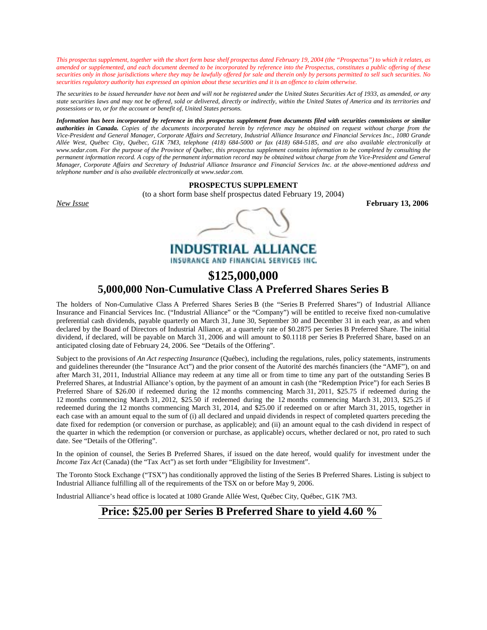*This prospectus supplement, together with the short form base shelf prospectus dated February 19, 2004 (the "Prospectus") to which it relates, as amended or supplemented, and each document deemed to be incorporated by reference into the Prospectus, constitutes a public offering of these securities only in those jurisdictions where they may be lawfully offered for sale and therein only by persons permitted to sell such securities. No securities regulatory authority has expressed an opinion about these securities and it is an offence to claim otherwise.* 

*The securities to be issued hereunder have not been and will not be registered under the United States Securities Act of 1933, as amended, or any state securities laws and may not be offered, sold or delivered, directly or indirectly, within the United States of America and its territories and possessions or to, or for the account or benefit of, United States persons.* 

*Information has been incorporated by reference in this prospectus supplement from documents filed with securities commissions or similar authorities in Canada. Copies of the documents incorporated herein by reference may be obtained on request without charge from the Vice-President and General Manager, Corporate Affairs and Secretary, Industrial Alliance Insurance and Financial Services Inc., 1080 Grande Allée West, Québec City, Québec, G1K 7M3, telephone (418) 684-5000 or fax (418) 684-5185, and are also available electronically at www.sedar.com. For the purpose of the Province of Québec, this prospectus supplement contains information to be completed by consulting the permanent information record. A copy of the permanent information record may be obtained without charge from the Vice-President and General Manager, Corporate Affairs and Secretary of Industrial Alliance Insurance and Financial Services Inc. at the above-mentioned address and telephone number and is also available electronically at www.sedar.com.* 

# **PROSPECTUS SUPPLEMENT**

(to a short form base shelf prospectus dated February 19, 2004)

*New Issue* **February 13, 2006** 

**INDUSTRIAL ALLIANCE** INSURANCE AND FINANCIAL SERVICES INC.

# **\$125,000,000 5,000,000 Non-Cumulative Class A Preferred Shares Series B**

The holders of Non-Cumulative Class A Preferred Shares Series B (the "Series B Preferred Shares") of Industrial Alliance Insurance and Financial Services Inc. ("Industrial Alliance" or the "Company") will be entitled to receive fixed non-cumulative preferential cash dividends, payable quarterly on March 31, June 30, September 30 and December 31 in each year, as and when declared by the Board of Directors of Industrial Alliance, at a quarterly rate of \$0.2875 per Series B Preferred Share. The initial dividend, if declared, will be payable on March 31, 2006 and will amount to \$0.1118 per Series B Preferred Share, based on an anticipated closing date of February 24, 2006. See "Details of the Offering".

Subject to the provisions of *An Act respecting Insurance* (Québec), including the regulations, rules, policy statements, instruments and guidelines thereunder (the "Insurance Act") and the prior consent of the Autorité des marchés financiers (the "AMF"), on and after March 31, 2011, Industrial Alliance may redeem at any time all or from time to time any part of the outstanding Series B Preferred Shares, at Industrial Alliance's option, by the payment of an amount in cash (the "Redemption Price") for each Series B Preferred Share of \$26.00 if redeemed during the 12 months commencing March 31, 2011, \$25.75 if redeemed during the 12 months commencing March 31, 2012, \$25.50 if redeemed during the 12 months commencing March 31, 2013, \$25.25 if redeemed during the 12 months commencing March 31, 2014, and \$25.00 if redeemed on or after March 31, 2015, together in each case with an amount equal to the sum of (i) all declared and unpaid dividends in respect of completed quarters preceding the date fixed for redemption (or conversion or purchase, as applicable); and (ii) an amount equal to the cash dividend in respect of the quarter in which the redemption (or conversion or purchase, as applicable) occurs, whether declared or not, pro rated to such date. See "Details of the Offering".

In the opinion of counsel, the Series B Preferred Shares, if issued on the date hereof, would qualify for investment under the *Income Tax Act* (Canada) (the "Tax Act") as set forth under "Eligibility for Investment".

The Toronto Stock Exchange ("TSX") has conditionally approved the listing of the Series B Preferred Shares. Listing is subject to Industrial Alliance fulfilling all of the requirements of the TSX on or before May 9, 2006.

Industrial Alliance's head office is located at 1080 Grande Allée West, Québec City, Québec, G1K 7M3.

# **Price: \$25.00 per Series B Preferred Share to yield 4.60 %**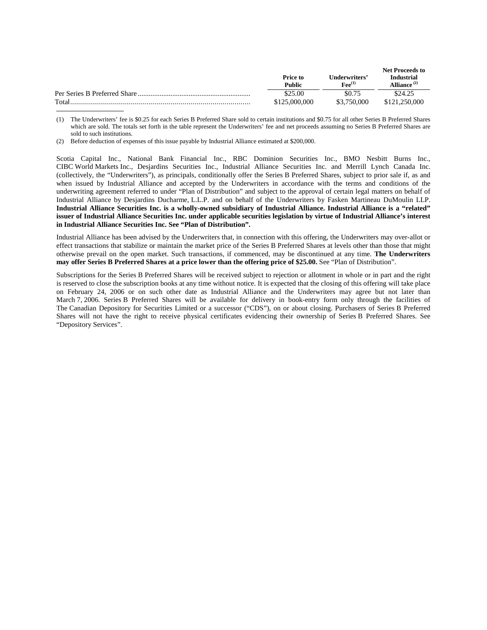|                              | Price to<br>Public | Underwriters'<br>$\mathbf{F}\mathbf{e}\mathbf{e}^{(1)}$ | Net Proceeds to<br><b>Industrial</b><br>Alliance $(2)$ |
|------------------------------|--------------------|---------------------------------------------------------|--------------------------------------------------------|
| Per Series B Preferred Share | \$25.00            | \$0.75                                                  | \$24.25                                                |
| Total                        | \$125,000,000      | \$3,750,000                                             | \$121,250,000                                          |

<sup>(1)</sup> The Underwriters' fee is \$0.25 for each Series B Preferred Share sold to certain institutions and \$0.75 for all other Series B Preferred Shares which are sold. The totals set forth in the table represent the Underwriters' fee and net proceeds assuming no Series B Preferred Shares are sold to such institutions.

Scotia Capital Inc., National Bank Financial Inc., RBC Dominion Securities Inc., BMO Nesbitt Burns Inc., CIBC World Markets Inc., Desjardins Securities Inc., Industrial Alliance Securities Inc. and Merrill Lynch Canada Inc. (collectively, the "Underwriters"), as principals, conditionally offer the Series B Preferred Shares, subject to prior sale if, as and when issued by Industrial Alliance and accepted by the Underwriters in accordance with the terms and conditions of the underwriting agreement referred to under "Plan of Distribution" and subject to the approval of certain legal matters on behalf of Industrial Alliance by Desjardins Ducharme, L.L.P. and on behalf of the Underwriters by Fasken Martineau DuMoulin LLP. **Industrial Alliance Securities Inc. is a wholly-owned subsidiary of Industrial Alliance. Industrial Alliance is a "related" issuer of Industrial Alliance Securities Inc. under applicable securities legislation by virtue of Industrial Alliance's interest in Industrial Alliance Securities Inc. See "Plan of Distribution".**

Industrial Alliance has been advised by the Underwriters that, in connection with this offering, the Underwriters may over-allot or effect transactions that stabilize or maintain the market price of the Series B Preferred Shares at levels other than those that might otherwise prevail on the open market. Such transactions, if commenced, may be discontinued at any time. **The Underwriters may offer Series B Preferred Shares at a price lower than the offering price of \$25.00.** See "Plan of Distribution".

Subscriptions for the Series B Preferred Shares will be received subject to rejection or allotment in whole or in part and the right is reserved to close the subscription books at any time without notice. It is expected that the closing of this offering will take place on February 24, 2006 or on such other date as Industrial Alliance and the Underwriters may agree but not later than March 7, 2006. Series B Preferred Shares will be available for delivery in book-entry form only through the facilities of The Canadian Depository for Securities Limited or a successor ("CDS"), on or about closing. Purchasers of Series B Preferred Shares will not have the right to receive physical certificates evidencing their ownership of Series B Preferred Shares. See "Depository Services".

<sup>(2)</sup> Before deduction of expenses of this issue payable by Industrial Alliance estimated at \$200,000.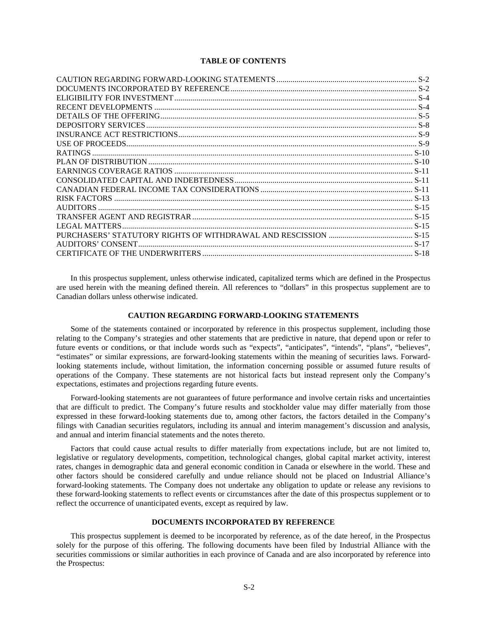# **TABLE OF CONTENTS**

In this prospectus supplement, unless otherwise indicated, capitalized terms which are defined in the Prospectus are used herein with the meaning defined therein. All references to "dollars" in this prospectus supplement are to Canadian dollars unless otherwise indicated.

# **CAUTION REGARDING FORWARD-LOOKING STATEMENTS**

Some of the statements contained or incorporated by reference in this prospectus supplement, including those relating to the Company's strategies and other statements that are predictive in nature, that depend upon or refer to future events or conditions, or that include words such as "expects", "anticipates", "intends", "plans", "believes", "estimates" or similar expressions, are forward-looking statements within the meaning of securities laws. Forwardlooking statements include, without limitation, the information concerning possible or assumed future results of operations of the Company. These statements are not historical facts but instead represent only the Company's expectations, estimates and projections regarding future events.

Forward-looking statements are not guarantees of future performance and involve certain risks and uncertainties that are difficult to predict. The Company's future results and stockholder value may differ materially from those expressed in these forward-looking statements due to, among other factors, the factors detailed in the Company's filings with Canadian securities regulators, including its annual and interim management's discussion and analysis, and annual and interim financial statements and the notes thereto.

Factors that could cause actual results to differ materially from expectations include, but are not limited to, legislative or regulatory developments, competition, technological changes, global capital market activity, interest rates, changes in demographic data and general economic condition in Canada or elsewhere in the world. These and other factors should be considered carefully and undue reliance should not be placed on Industrial Alliance's forward-looking statements. The Company does not undertake any obligation to update or release any revisions to these forward-looking statements to reflect events or circumstances after the date of this prospectus supplement or to reflect the occurrence of unanticipated events, except as required by law.

# **DOCUMENTS INCORPORATED BY REFERENCE**

This prospectus supplement is deemed to be incorporated by reference, as of the date hereof, in the Prospectus solely for the purpose of this offering. The following documents have been filed by Industrial Alliance with the securities commissions or similar authorities in each province of Canada and are also incorporated by reference into the Prospectus: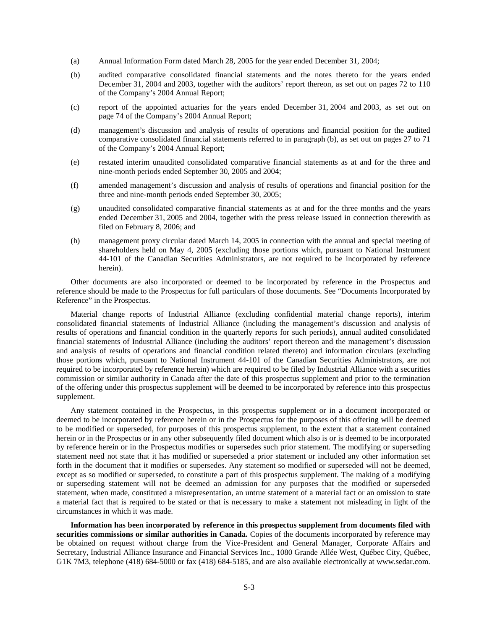- (a) Annual Information Form dated March 28, 2005 for the year ended December 31, 2004;
- (b) audited comparative consolidated financial statements and the notes thereto for the years ended December 31, 2004 and 2003, together with the auditors' report thereon, as set out on pages 72 to 110 of the Company's 2004 Annual Report;
- (c) report of the appointed actuaries for the years ended December 31, 2004 and 2003, as set out on page 74 of the Company's 2004 Annual Report;
- (d) management's discussion and analysis of results of operations and financial position for the audited comparative consolidated financial statements referred to in paragraph (b), as set out on pages 27 to 71 of the Company's 2004 Annual Report;
- (e) restated interim unaudited consolidated comparative financial statements as at and for the three and nine-month periods ended September 30, 2005 and 2004;
- (f) amended management's discussion and analysis of results of operations and financial position for the three and nine-month periods ended September 30, 2005;
- (g) unaudited consolidated comparative financial statements as at and for the three months and the years ended December 31, 2005 and 2004, together with the press release issued in connection therewith as filed on February 8, 2006; and
- (h) management proxy circular dated March 14, 2005 in connection with the annual and special meeting of shareholders held on May 4, 2005 (excluding those portions which, pursuant to National Instrument 44-101 of the Canadian Securities Administrators, are not required to be incorporated by reference herein).

Other documents are also incorporated or deemed to be incorporated by reference in the Prospectus and reference should be made to the Prospectus for full particulars of those documents. See "Documents Incorporated by Reference" in the Prospectus.

Material change reports of Industrial Alliance (excluding confidential material change reports), interim consolidated financial statements of Industrial Alliance (including the management's discussion and analysis of results of operations and financial condition in the quarterly reports for such periods), annual audited consolidated financial statements of Industrial Alliance (including the auditors' report thereon and the management's discussion and analysis of results of operations and financial condition related thereto) and information circulars (excluding those portions which, pursuant to National Instrument 44-101 of the Canadian Securities Administrators, are not required to be incorporated by reference herein) which are required to be filed by Industrial Alliance with a securities commission or similar authority in Canada after the date of this prospectus supplement and prior to the termination of the offering under this prospectus supplement will be deemed to be incorporated by reference into this prospectus supplement.

Any statement contained in the Prospectus, in this prospectus supplement or in a document incorporated or deemed to be incorporated by reference herein or in the Prospectus for the purposes of this offering will be deemed to be modified or superseded, for purposes of this prospectus supplement, to the extent that a statement contained herein or in the Prospectus or in any other subsequently filed document which also is or is deemed to be incorporated by reference herein or in the Prospectus modifies or supersedes such prior statement. The modifying or superseding statement need not state that it has modified or superseded a prior statement or included any other information set forth in the document that it modifies or supersedes. Any statement so modified or superseded will not be deemed, except as so modified or superseded, to constitute a part of this prospectus supplement. The making of a modifying or superseding statement will not be deemed an admission for any purposes that the modified or superseded statement, when made, constituted a misrepresentation, an untrue statement of a material fact or an omission to state a material fact that is required to be stated or that is necessary to make a statement not misleading in light of the circumstances in which it was made.

**Information has been incorporated by reference in this prospectus supplement from documents filed with securities commissions or similar authorities in Canada.** Copies of the documents incorporated by reference may be obtained on request without charge from the Vice-President and General Manager, Corporate Affairs and Secretary, Industrial Alliance Insurance and Financial Services Inc., 1080 Grande Allée West, Québec City, Québec, G1K 7M3, telephone (418) 684-5000 or fax (418) 684-5185, and are also available electronically at www.sedar.com.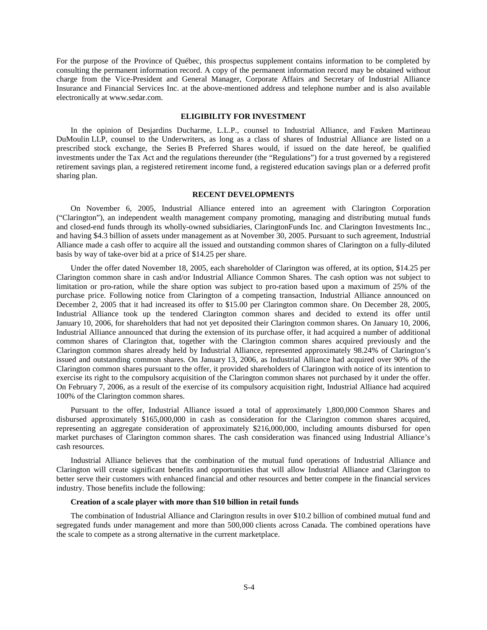For the purpose of the Province of Québec, this prospectus supplement contains information to be completed by consulting the permanent information record. A copy of the permanent information record may be obtained without charge from the Vice-President and General Manager, Corporate Affairs and Secretary of Industrial Alliance Insurance and Financial Services Inc. at the above-mentioned address and telephone number and is also available electronically at www.sedar.com.

# **ELIGIBILITY FOR INVESTMENT**

In the opinion of Desjardins Ducharme, L.L.P., counsel to Industrial Alliance, and Fasken Martineau DuMoulin LLP, counsel to the Underwriters, as long as a class of shares of Industrial Alliance are listed on a prescribed stock exchange, the Series B Preferred Shares would, if issued on the date hereof, be qualified investments under the Tax Act and the regulations thereunder (the "Regulations") for a trust governed by a registered retirement savings plan, a registered retirement income fund, a registered education savings plan or a deferred profit sharing plan.

#### **RECENT DEVELOPMENTS**

On November 6, 2005, Industrial Alliance entered into an agreement with Clarington Corporation ("Clarington"), an independent wealth management company promoting, managing and distributing mutual funds and closed-end funds through its wholly-owned subsidiaries, ClaringtonFunds Inc. and Clarington Investments Inc., and having \$4.3 billion of assets under management as at November 30, 2005. Pursuant to such agreement, Industrial Alliance made a cash offer to acquire all the issued and outstanding common shares of Clarington on a fully-diluted basis by way of take-over bid at a price of \$14.25 per share.

Under the offer dated November 18, 2005, each shareholder of Clarington was offered, at its option, \$14.25 per Clarington common share in cash and/or Industrial Alliance Common Shares. The cash option was not subject to limitation or pro-ration, while the share option was subject to pro-ration based upon a maximum of 25% of the purchase price. Following notice from Clarington of a competing transaction, Industrial Alliance announced on December 2, 2005 that it had increased its offer to \$15.00 per Clarington common share. On December 28, 2005, Industrial Alliance took up the tendered Clarington common shares and decided to extend its offer until January 10, 2006, for shareholders that had not yet deposited their Clarington common shares. On January 10, 2006, Industrial Alliance announced that during the extension of its purchase offer, it had acquired a number of additional common shares of Clarington that, together with the Clarington common shares acquired previously and the Clarington common shares already held by Industrial Alliance, represented approximately 98.24% of Clarington's issued and outstanding common shares. On January 13, 2006, as Industrial Alliance had acquired over 90% of the Clarington common shares pursuant to the offer, it provided shareholders of Clarington with notice of its intention to exercise its right to the compulsory acquisition of the Clarington common shares not purchased by it under the offer. On February 7, 2006, as a result of the exercise of its compulsory acquisition right, Industrial Alliance had acquired 100% of the Clarington common shares.

Pursuant to the offer, Industrial Alliance issued a total of approximately 1,800,000 Common Shares and disbursed approximately \$165,000,000 in cash as consideration for the Clarington common shares acquired, representing an aggregate consideration of approximately \$216,000,000, including amounts disbursed for open market purchases of Clarington common shares. The cash consideration was financed using Industrial Alliance's cash resources.

Industrial Alliance believes that the combination of the mutual fund operations of Industrial Alliance and Clarington will create significant benefits and opportunities that will allow Industrial Alliance and Clarington to better serve their customers with enhanced financial and other resources and better compete in the financial services industry. Those benefits include the following:

# **Creation of a scale player with more than \$10 billion in retail funds**

The combination of Industrial Alliance and Clarington results in over \$10.2 billion of combined mutual fund and segregated funds under management and more than 500,000 clients across Canada. The combined operations have the scale to compete as a strong alternative in the current marketplace.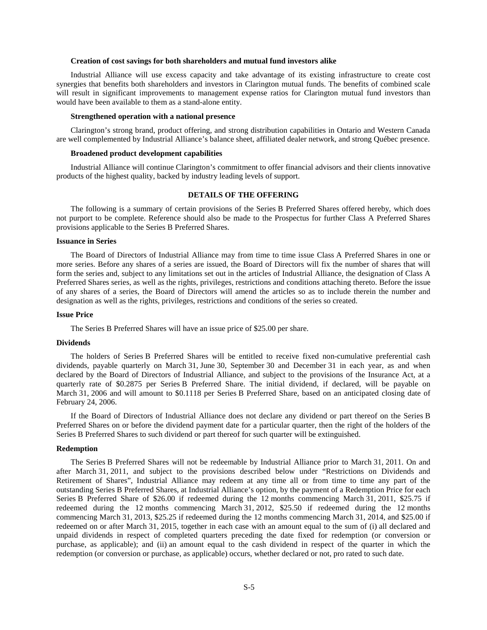# **Creation of cost savings for both shareholders and mutual fund investors alike**

Industrial Alliance will use excess capacity and take advantage of its existing infrastructure to create cost synergies that benefits both shareholders and investors in Clarington mutual funds. The benefits of combined scale will result in significant improvements to management expense ratios for Clarington mutual fund investors than would have been available to them as a stand-alone entity.

#### **Strengthened operation with a national presence**

Clarington's strong brand, product offering, and strong distribution capabilities in Ontario and Western Canada are well complemented by Industrial Alliance's balance sheet, affiliated dealer network, and strong Québec presence.

#### **Broadened product development capabilities**

Industrial Alliance will continue Clarington's commitment to offer financial advisors and their clients innovative products of the highest quality, backed by industry leading levels of support.

# **DETAILS OF THE OFFERING**

The following is a summary of certain provisions of the Series B Preferred Shares offered hereby, which does not purport to be complete. Reference should also be made to the Prospectus for further Class A Preferred Shares provisions applicable to the Series B Preferred Shares.

#### **Issuance in Series**

The Board of Directors of Industrial Alliance may from time to time issue Class A Preferred Shares in one or more series. Before any shares of a series are issued, the Board of Directors will fix the number of shares that will form the series and, subject to any limitations set out in the articles of Industrial Alliance, the designation of Class A Preferred Shares series, as well as the rights, privileges, restrictions and conditions attaching thereto. Before the issue of any shares of a series, the Board of Directors will amend the articles so as to include therein the number and designation as well as the rights, privileges, restrictions and conditions of the series so created.

#### **Issue Price**

The Series B Preferred Shares will have an issue price of \$25.00 per share.

#### **Dividends**

The holders of Series B Preferred Shares will be entitled to receive fixed non-cumulative preferential cash dividends, payable quarterly on March 31, June 30, September 30 and December 31 in each year, as and when declared by the Board of Directors of Industrial Alliance, and subject to the provisions of the Insurance Act, at a quarterly rate of \$0.2875 per Series B Preferred Share. The initial dividend, if declared, will be payable on March 31, 2006 and will amount to \$0.1118 per Series B Preferred Share, based on an anticipated closing date of February 24, 2006.

If the Board of Directors of Industrial Alliance does not declare any dividend or part thereof on the Series B Preferred Shares on or before the dividend payment date for a particular quarter, then the right of the holders of the Series B Preferred Shares to such dividend or part thereof for such quarter will be extinguished.

#### **Redemption**

The Series B Preferred Shares will not be redeemable by Industrial Alliance prior to March 31, 2011. On and after March 31, 2011, and subject to the provisions described below under "Restrictions on Dividends and Retirement of Shares", Industrial Alliance may redeem at any time all or from time to time any part of the outstanding Series B Preferred Shares, at Industrial Alliance's option, by the payment of a Redemption Price for each Series B Preferred Share of \$26.00 if redeemed during the 12 months commencing March 31, 2011, \$25.75 if redeemed during the 12 months commencing March 31, 2012, \$25.50 if redeemed during the 12 months commencing March 31, 2013, \$25.25 if redeemed during the 12 months commencing March 31, 2014, and \$25.00 if redeemed on or after March 31, 2015, together in each case with an amount equal to the sum of (i) all declared and unpaid dividends in respect of completed quarters preceding the date fixed for redemption (or conversion or purchase, as applicable); and (ii) an amount equal to the cash dividend in respect of the quarter in which the redemption (or conversion or purchase, as applicable) occurs, whether declared or not, pro rated to such date.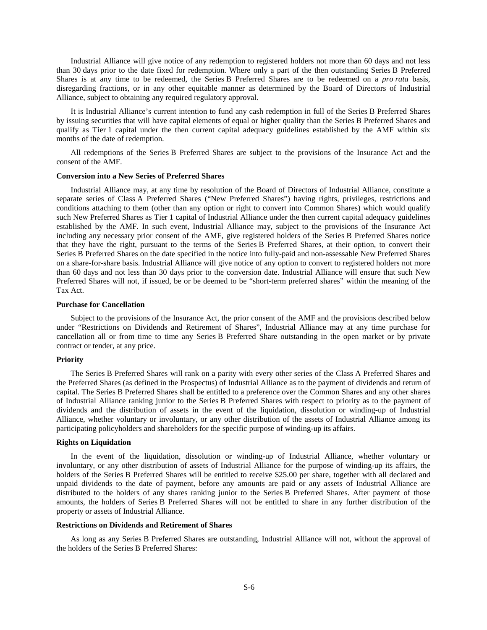Industrial Alliance will give notice of any redemption to registered holders not more than 60 days and not less than 30 days prior to the date fixed for redemption. Where only a part of the then outstanding Series B Preferred Shares is at any time to be redeemed, the Series B Preferred Shares are to be redeemed on a *pro rata* basis, disregarding fractions, or in any other equitable manner as determined by the Board of Directors of Industrial Alliance, subject to obtaining any required regulatory approval.

It is Industrial Alliance's current intention to fund any cash redemption in full of the Series B Preferred Shares by issuing securities that will have capital elements of equal or higher quality than the Series B Preferred Shares and qualify as Tier 1 capital under the then current capital adequacy guidelines established by the AMF within six months of the date of redemption.

All redemptions of the Series B Preferred Shares are subject to the provisions of the Insurance Act and the consent of the AMF.

#### **Conversion into a New Series of Preferred Shares**

Industrial Alliance may, at any time by resolution of the Board of Directors of Industrial Alliance, constitute a separate series of Class A Preferred Shares ("New Preferred Shares") having rights, privileges, restrictions and conditions attaching to them (other than any option or right to convert into Common Shares) which would qualify such New Preferred Shares as Tier 1 capital of Industrial Alliance under the then current capital adequacy guidelines established by the AMF. In such event, Industrial Alliance may, subject to the provisions of the Insurance Act including any necessary prior consent of the AMF, give registered holders of the Series B Preferred Shares notice that they have the right, pursuant to the terms of the Series B Preferred Shares, at their option, to convert their Series B Preferred Shares on the date specified in the notice into fully-paid and non-assessable New Preferred Shares on a share-for-share basis. Industrial Alliance will give notice of any option to convert to registered holders not more than 60 days and not less than 30 days prior to the conversion date. Industrial Alliance will ensure that such New Preferred Shares will not, if issued, be or be deemed to be "short-term preferred shares" within the meaning of the Tax Act.

#### **Purchase for Cancellation**

Subject to the provisions of the Insurance Act, the prior consent of the AMF and the provisions described below under "Restrictions on Dividends and Retirement of Shares", Industrial Alliance may at any time purchase for cancellation all or from time to time any Series B Preferred Share outstanding in the open market or by private contract or tender, at any price.

#### **Priority**

The Series B Preferred Shares will rank on a parity with every other series of the Class A Preferred Shares and the Preferred Shares (as defined in the Prospectus) of Industrial Alliance as to the payment of dividends and return of capital. The Series B Preferred Shares shall be entitled to a preference over the Common Shares and any other shares of Industrial Alliance ranking junior to the Series B Preferred Shares with respect to priority as to the payment of dividends and the distribution of assets in the event of the liquidation, dissolution or winding-up of Industrial Alliance, whether voluntary or involuntary, or any other distribution of the assets of Industrial Alliance among its participating policyholders and shareholders for the specific purpose of winding-up its affairs.

# **Rights on Liquidation**

In the event of the liquidation, dissolution or winding-up of Industrial Alliance, whether voluntary or involuntary, or any other distribution of assets of Industrial Alliance for the purpose of winding-up its affairs, the holders of the Series B Preferred Shares will be entitled to receive \$25.00 per share, together with all declared and unpaid dividends to the date of payment, before any amounts are paid or any assets of Industrial Alliance are distributed to the holders of any shares ranking junior to the Series B Preferred Shares. After payment of those amounts, the holders of Series B Preferred Shares will not be entitled to share in any further distribution of the property or assets of Industrial Alliance.

#### **Restrictions on Dividends and Retirement of Shares**

As long as any Series B Preferred Shares are outstanding, Industrial Alliance will not, without the approval of the holders of the Series B Preferred Shares: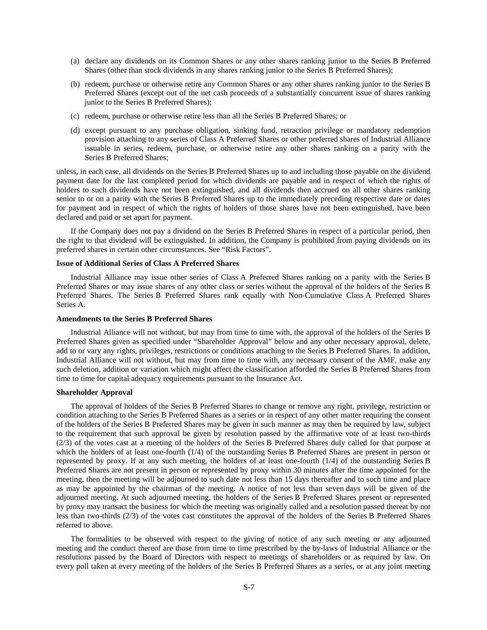- (a) declare any dividends on its Common Shares or any other shares ranking junior to the Series B Preferred Shares (other than stock dividends in any shares ranking junior to the Series B Preferred Shares);
- (b) redeem, purchase or otherwise retire any Common Shares or any other shares ranking junior to the Series B Preferred Shares (except out of the net cash proceeds of a substantially concurrent issue of shares ranking junior to the Series B Preferred Shares);
- (c) redeem, purchase or otherwise retire less than all the Series B Preferred Shares; or
- (d) except pursuant to any purchase obligation, sinking fund, retraction privilege or mandatory redemption provision attaching to any series of Class A Preferred Shares or other preferred shares of Industrial Alliance issuable in series, redeem, purchase, or otherwise retire any other shares ranking on a parity with the Series B Preferred Shares;

unless, in each case, all dividends on the Series B Preferred Shares up to and including those payable on the dividend payment date for the last completed period for which dividends are payable and in respect of which the rights of holders to such dividends have not been extinguished, and all dividends then accrued on all other shares ranking senior to or on a parity with the Series B Preferred Shares up to the immediately preceding respective date or dates for payment and in respect of which the rights of holders of those shares have not been extinguished, have been declared and paid or set apart for payment.

If the Company does not pay a dividend on the Series B Preferred Shares in respect of a particular period, then the right to that dividend will be extinguished. In addition, the Company is prohibited from paying dividends on its preferred shares in certain other circumstances. See "Risk Factors".

# **Issue of Additional Series of Class A Preferred Shares**

Industrial Alliance may issue other series of Class A Preferred Shares ranking on a parity with the Series B Preferred Shares or may issue shares of any other class or series without the approval of the holders of the Series B Preferred Shares. The Series B Preferred Shares rank equally with Non-Cumulative Class A Preferred Shares Series A.

# **Amendments to the Series B Preferred Shares**

Industrial Alliance will not without, but may from time to time with, the approval of the holders of the Series B Preferred Shares given as specified under "Shareholder Approval" below and any other necessary approval, delete, add to or vary any rights, privileges, restrictions or conditions attaching to the Series B Preferred Shares. In addition, Industrial Alliance will not without, but may from time to time with, any necessary consent of the AMF, make any such deletion, addition or variation which might affect the classification afforded the Series B Preferred Shares from time to time for capital adequacy requirements pursuant to the Insurance Act.

#### **Shareholder Approval**

The approval of holders of the Series B Preferred Shares to change or remove any right, privilege, restriction or condition attaching to the Series B Preferred Shares as a series or in respect of any other matter requiring the consent of the holders of the Series B Preferred Shares may be given in such manner as may then be required by law, subject to the requirement that such approval be given by resolution passed by the affirmative vote of at least two-thirds (2/3) of the votes cast at a meeting of the holders of the Series B Preferred Shares duly called for that purpose at which the holders of at least one-fourth (1/4) of the outstanding Series B Preferred Shares are present in person or represented by proxy. If at any such meeting, the holders of at least one-fourth (1/4) of the outstanding Series B Preferred Shares are not present in person or represented by proxy within 30 minutes after the time appointed for the meeting, then the meeting will be adjourned to such date not less than 15 days thereafter and to such time and place as may be appointed by the chairman of the meeting. A notice of not less than seven days will be given of the adjourned meeting. At such adjourned meeting, the holders of the Series B Preferred Shares present or represented by proxy may transact the business for which the meeting was originally called and a resolution passed thereat by not less than two-thirds (2/3) of the votes cast constitutes the approval of the holders of the Series B Preferred Shares referred to above.

The formalities to be observed with respect to the giving of notice of any such meeting or any adjourned meeting and the conduct thereof are those from time to time prescribed by the by-laws of Industrial Alliance or the resolutions passed by the Board of Directors with respect to meetings of shareholders or as required by law. On every poll taken at every meeting of the holders of the Series B Preferred Shares as a series, or at any joint meeting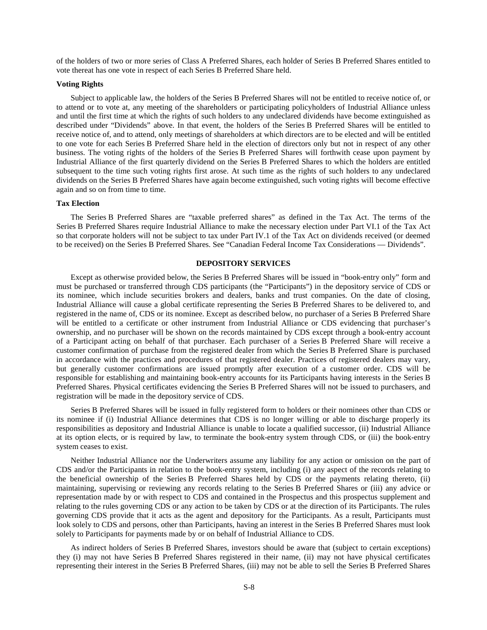of the holders of two or more series of Class A Preferred Shares, each holder of Series B Preferred Shares entitled to vote thereat has one vote in respect of each Series B Preferred Share held.

#### **Voting Rights**

Subject to applicable law, the holders of the Series B Preferred Shares will not be entitled to receive notice of, or to attend or to vote at, any meeting of the shareholders or participating policyholders of Industrial Alliance unless and until the first time at which the rights of such holders to any undeclared dividends have become extinguished as described under "Dividends" above. In that event, the holders of the Series B Preferred Shares will be entitled to receive notice of, and to attend, only meetings of shareholders at which directors are to be elected and will be entitled to one vote for each Series B Preferred Share held in the election of directors only but not in respect of any other business. The voting rights of the holders of the Series B Preferred Shares will forthwith cease upon payment by Industrial Alliance of the first quarterly dividend on the Series B Preferred Shares to which the holders are entitled subsequent to the time such voting rights first arose. At such time as the rights of such holders to any undeclared dividends on the Series B Preferred Shares have again become extinguished, such voting rights will become effective again and so on from time to time.

#### **Tax Election**

The Series B Preferred Shares are "taxable preferred shares" as defined in the Tax Act. The terms of the Series B Preferred Shares require Industrial Alliance to make the necessary election under Part VI.1 of the Tax Act so that corporate holders will not be subject to tax under Part IV.1 of the Tax Act on dividends received (or deemed to be received) on the Series B Preferred Shares. See "Canadian Federal Income Tax Considerations — Dividends".

# **DEPOSITORY SERVICES**

Except as otherwise provided below, the Series B Preferred Shares will be issued in "book-entry only" form and must be purchased or transferred through CDS participants (the "Participants") in the depository service of CDS or its nominee, which include securities brokers and dealers, banks and trust companies. On the date of closing, Industrial Alliance will cause a global certificate representing the Series B Preferred Shares to be delivered to, and registered in the name of, CDS or its nominee. Except as described below, no purchaser of a Series B Preferred Share will be entitled to a certificate or other instrument from Industrial Alliance or CDS evidencing that purchaser's ownership, and no purchaser will be shown on the records maintained by CDS except through a book-entry account of a Participant acting on behalf of that purchaser. Each purchaser of a Series B Preferred Share will receive a customer confirmation of purchase from the registered dealer from which the Series B Preferred Share is purchased in accordance with the practices and procedures of that registered dealer. Practices of registered dealers may vary, but generally customer confirmations are issued promptly after execution of a customer order. CDS will be responsible for establishing and maintaining book-entry accounts for its Participants having interests in the Series B Preferred Shares. Physical certificates evidencing the Series B Preferred Shares will not be issued to purchasers, and registration will be made in the depository service of CDS.

Series B Preferred Shares will be issued in fully registered form to holders or their nominees other than CDS or its nominee if (i) Industrial Alliance determines that CDS is no longer willing or able to discharge properly its responsibilities as depository and Industrial Alliance is unable to locate a qualified successor, (ii) Industrial Alliance at its option elects, or is required by law, to terminate the book-entry system through CDS, or (iii) the book-entry system ceases to exist.

Neither Industrial Alliance nor the Underwriters assume any liability for any action or omission on the part of CDS and/or the Participants in relation to the book-entry system, including (i) any aspect of the records relating to the beneficial ownership of the Series B Preferred Shares held by CDS or the payments relating thereto, (ii) maintaining, supervising or reviewing any records relating to the Series B Preferred Shares or (iii) any advice or representation made by or with respect to CDS and contained in the Prospectus and this prospectus supplement and relating to the rules governing CDS or any action to be taken by CDS or at the direction of its Participants. The rules governing CDS provide that it acts as the agent and depository for the Participants. As a result, Participants must look solely to CDS and persons, other than Participants, having an interest in the Series B Preferred Shares must look solely to Participants for payments made by or on behalf of Industrial Alliance to CDS.

As indirect holders of Series B Preferred Shares, investors should be aware that (subject to certain exceptions) they (i) may not have Series B Preferred Shares registered in their name, (ii) may not have physical certificates representing their interest in the Series B Preferred Shares, (iii) may not be able to sell the Series B Preferred Shares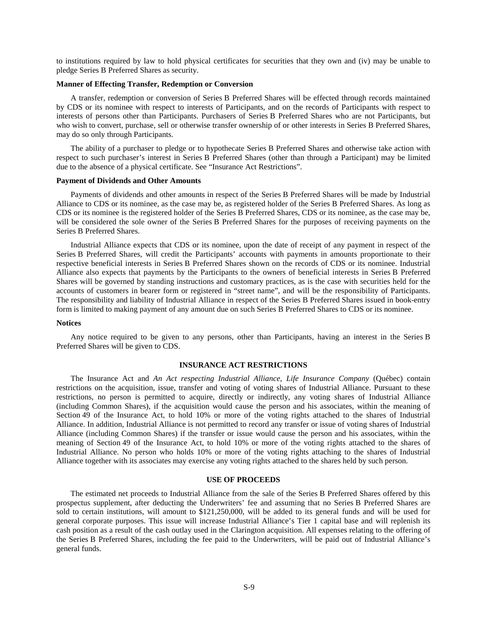to institutions required by law to hold physical certificates for securities that they own and (iv) may be unable to pledge Series B Preferred Shares as security.

#### **Manner of Effecting Transfer, Redemption or Conversion**

A transfer, redemption or conversion of Series B Preferred Shares will be effected through records maintained by CDS or its nominee with respect to interests of Participants, and on the records of Participants with respect to interests of persons other than Participants. Purchasers of Series B Preferred Shares who are not Participants, but who wish to convert, purchase, sell or otherwise transfer ownership of or other interests in Series B Preferred Shares, may do so only through Participants.

The ability of a purchaser to pledge or to hypothecate Series B Preferred Shares and otherwise take action with respect to such purchaser's interest in Series B Preferred Shares (other than through a Participant) may be limited due to the absence of a physical certificate. See "Insurance Act Restrictions".

#### **Payment of Dividends and Other Amounts**

Payments of dividends and other amounts in respect of the Series B Preferred Shares will be made by Industrial Alliance to CDS or its nominee, as the case may be, as registered holder of the Series B Preferred Shares. As long as CDS or its nominee is the registered holder of the Series B Preferred Shares, CDS or its nominee, as the case may be, will be considered the sole owner of the Series B Preferred Shares for the purposes of receiving payments on the Series B Preferred Shares.

Industrial Alliance expects that CDS or its nominee, upon the date of receipt of any payment in respect of the Series B Preferred Shares, will credit the Participants' accounts with payments in amounts proportionate to their respective beneficial interests in Series B Preferred Shares shown on the records of CDS or its nominee. Industrial Alliance also expects that payments by the Participants to the owners of beneficial interests in Series B Preferred Shares will be governed by standing instructions and customary practices, as is the case with securities held for the accounts of customers in bearer form or registered in "street name", and will be the responsibility of Participants. The responsibility and liability of Industrial Alliance in respect of the Series B Preferred Shares issued in book-entry form is limited to making payment of any amount due on such Series B Preferred Shares to CDS or its nominee.

#### **Notices**

Any notice required to be given to any persons, other than Participants, having an interest in the Series B Preferred Shares will be given to CDS.

#### **INSURANCE ACT RESTRICTIONS**

The Insurance Act and *An Act respecting Industrial Alliance, Life Insurance Company* (Québec) contain restrictions on the acquisition, issue, transfer and voting of voting shares of Industrial Alliance. Pursuant to these restrictions, no person is permitted to acquire, directly or indirectly, any voting shares of Industrial Alliance (including Common Shares), if the acquisition would cause the person and his associates, within the meaning of Section 49 of the Insurance Act, to hold 10% or more of the voting rights attached to the shares of Industrial Alliance. In addition, Industrial Alliance is not permitted to record any transfer or issue of voting shares of Industrial Alliance (including Common Shares) if the transfer or issue would cause the person and his associates, within the meaning of Section 49 of the Insurance Act, to hold 10% or more of the voting rights attached to the shares of Industrial Alliance. No person who holds 10% or more of the voting rights attaching to the shares of Industrial Alliance together with its associates may exercise any voting rights attached to the shares held by such person.

#### **USE OF PROCEEDS**

The estimated net proceeds to Industrial Alliance from the sale of the Series B Preferred Shares offered by this prospectus supplement, after deducting the Underwriters' fee and assuming that no Series B Preferred Shares are sold to certain institutions, will amount to \$121,250,000, will be added to its general funds and will be used for general corporate purposes. This issue will increase Industrial Alliance's Tier 1 capital base and will replenish its cash position as a result of the cash outlay used in the Clarington acquisition. All expenses relating to the offering of the Series B Preferred Shares, including the fee paid to the Underwriters, will be paid out of Industrial Alliance's general funds.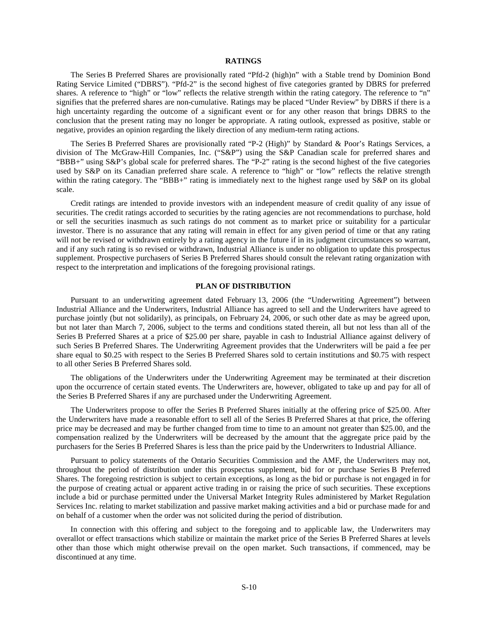# **RATINGS**

The Series B Preferred Shares are provisionally rated "Pfd-2 (high)n" with a Stable trend by Dominion Bond Rating Service Limited ("DBRS"). "Pfd-2" is the second highest of five categories granted by DBRS for preferred shares. A reference to "high" or "low" reflects the relative strength within the rating category. The reference to "n" signifies that the preferred shares are non-cumulative. Ratings may be placed "Under Review" by DBRS if there is a high uncertainty regarding the outcome of a significant event or for any other reason that brings DBRS to the conclusion that the present rating may no longer be appropriate. A rating outlook, expressed as positive, stable or negative, provides an opinion regarding the likely direction of any medium-term rating actions.

The Series B Preferred Shares are provisionally rated "P-2 (High)" by Standard & Poor's Ratings Services, a division of The McGraw-Hill Companies, Inc. ("S&P") using the S&P Canadian scale for preferred shares and "BBB+" using S&P's global scale for preferred shares. The "P-2" rating is the second highest of the five categories used by S&P on its Canadian preferred share scale. A reference to "high" or "low" reflects the relative strength within the rating category. The "BBB+" rating is immediately next to the highest range used by S&P on its global scale.

Credit ratings are intended to provide investors with an independent measure of credit quality of any issue of securities. The credit ratings accorded to securities by the rating agencies are not recommendations to purchase, hold or sell the securities inasmuch as such ratings do not comment as to market price or suitability for a particular investor. There is no assurance that any rating will remain in effect for any given period of time or that any rating will not be revised or withdrawn entirely by a rating agency in the future if in its judgment circumstances so warrant, and if any such rating is so revised or withdrawn, Industrial Alliance is under no obligation to update this prospectus supplement. Prospective purchasers of Series B Preferred Shares should consult the relevant rating organization with respect to the interpretation and implications of the foregoing provisional ratings.

# **PLAN OF DISTRIBUTION**

Pursuant to an underwriting agreement dated February 13, 2006 (the "Underwriting Agreement") between Industrial Alliance and the Underwriters, Industrial Alliance has agreed to sell and the Underwriters have agreed to purchase jointly (but not solidarily), as principals, on February 24, 2006, or such other date as may be agreed upon, but not later than March 7, 2006, subject to the terms and conditions stated therein, all but not less than all of the Series B Preferred Shares at a price of \$25.00 per share, payable in cash to Industrial Alliance against delivery of such Series B Preferred Shares. The Underwriting Agreement provides that the Underwriters will be paid a fee per share equal to \$0.25 with respect to the Series B Preferred Shares sold to certain institutions and \$0.75 with respect to all other Series B Preferred Shares sold.

The obligations of the Underwriters under the Underwriting Agreement may be terminated at their discretion upon the occurrence of certain stated events. The Underwriters are, however, obligated to take up and pay for all of the Series B Preferred Shares if any are purchased under the Underwriting Agreement.

The Underwriters propose to offer the Series B Preferred Shares initially at the offering price of \$25.00. After the Underwriters have made a reasonable effort to sell all of the Series B Preferred Shares at that price, the offering price may be decreased and may be further changed from time to time to an amount not greater than \$25.00, and the compensation realized by the Underwriters will be decreased by the amount that the aggregate price paid by the purchasers for the Series B Preferred Shares is less than the price paid by the Underwriters to Industrial Alliance.

Pursuant to policy statements of the Ontario Securities Commission and the AMF, the Underwriters may not, throughout the period of distribution under this prospectus supplement, bid for or purchase Series B Preferred Shares. The foregoing restriction is subject to certain exceptions, as long as the bid or purchase is not engaged in for the purpose of creating actual or apparent active trading in or raising the price of such securities. These exceptions include a bid or purchase permitted under the Universal Market Integrity Rules administered by Market Regulation Services Inc. relating to market stabilization and passive market making activities and a bid or purchase made for and on behalf of a customer when the order was not solicited during the period of distribution.

In connection with this offering and subject to the foregoing and to applicable law, the Underwriters may overallot or effect transactions which stabilize or maintain the market price of the Series B Preferred Shares at levels other than those which might otherwise prevail on the open market. Such transactions, if commenced, may be discontinued at any time.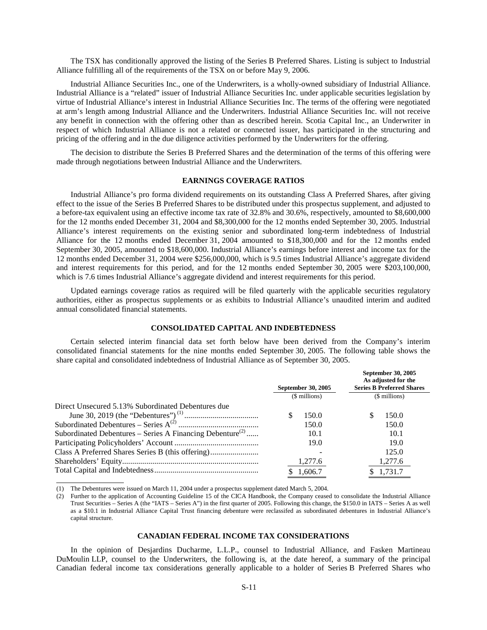The TSX has conditionally approved the listing of the Series B Preferred Shares. Listing is subject to Industrial Alliance fulfilling all of the requirements of the TSX on or before May 9, 2006.

Industrial Alliance Securities Inc., one of the Underwriters, is a wholly-owned subsidiary of Industrial Alliance. Industrial Alliance is a "related" issuer of Industrial Alliance Securities Inc. under applicable securities legislation by virtue of Industrial Alliance's interest in Industrial Alliance Securities Inc. The terms of the offering were negotiated at arm's length among Industrial Alliance and the Underwriters. Industrial Alliance Securities Inc. will not receive any benefit in connection with the offering other than as described herein. Scotia Capital Inc., an Underwriter in respect of which Industrial Alliance is not a related or connected issuer, has participated in the structuring and pricing of the offering and in the due diligence activities performed by the Underwriters for the offering.

The decision to distribute the Series B Preferred Shares and the determination of the terms of this offering were made through negotiations between Industrial Alliance and the Underwriters.

# **EARNINGS COVERAGE RATIOS**

Industrial Alliance's pro forma dividend requirements on its outstanding Class A Preferred Shares, after giving effect to the issue of the Series B Preferred Shares to be distributed under this prospectus supplement, and adjusted to a before-tax equivalent using an effective income tax rate of 32.8% and 30.6%, respectively, amounted to \$8,600,000 for the 12 months ended December 31, 2004 and \$8,300,000 for the 12 months ended September 30, 2005. Industrial Alliance's interest requirements on the existing senior and subordinated long-term indebtedness of Industrial Alliance for the 12 months ended December 31, 2004 amounted to \$18,300,000 and for the 12 months ended September 30, 2005, amounted to \$18,600,000. Industrial Alliance's earnings before interest and income tax for the 12 months ended December 31, 2004 were \$256,000,000, which is 9.5 times Industrial Alliance's aggregate dividend and interest requirements for this period, and for the 12 months ended September 30, 2005 were \$203,100,000, which is 7.6 times Industrial Alliance's aggregate dividend and interest requirements for this period.

Updated earnings coverage ratios as required will be filed quarterly with the applicable securities regulatory authorities, either as prospectus supplements or as exhibits to Industrial Alliance's unaudited interim and audited annual consolidated financial statements.

# **CONSOLIDATED CAPITAL AND INDEBTEDNESS**

Certain selected interim financial data set forth below have been derived from the Company's interim consolidated financial statements for the nine months ended September 30, 2005. The following table shows the share capital and consolidated indebtedness of Industrial Alliance as of September 30, 2005.

|                                                                       | <b>September 30, 2005</b> | <b>September 30, 2005</b><br>As adjusted for the<br><b>Series B Preferred Shares</b> |  |
|-----------------------------------------------------------------------|---------------------------|--------------------------------------------------------------------------------------|--|
|                                                                       | (\$ millions)             | (\$ millions)                                                                        |  |
| Direct Unsecured 5.13% Subordinated Debentures due                    |                           |                                                                                      |  |
|                                                                       | 150.0                     | 150.0                                                                                |  |
|                                                                       | 150.0                     | 150.0                                                                                |  |
| Subordinated Debentures – Series A Financing Debenture <sup>(2)</sup> | 10.1                      | 10.1                                                                                 |  |
|                                                                       | 19.0                      | 19.0                                                                                 |  |
|                                                                       |                           | 125.0                                                                                |  |
|                                                                       | 1,277.6                   | 1,277.6                                                                              |  |
|                                                                       | 1.606.7                   | \$1,731.7                                                                            |  |

(1) The Debentures were issued on March 11, 2004 under a prospectus supplement dated March 5, 2004.

(2) Further to the application of Accounting Guideline 15 of the CICA Handbook, the Company ceased to consolidate the Industrial Alliance Trust Securities – Series A (the "IATS – Series A") in the first quarter of 2005. Following this change, the \$150.0 in IATS – Series A as well as a \$10.1 in Industrial Alliance Capital Trust financing debenture were reclassifed as subordinated debentures in Industrial Alliance's capital structure.

### **CANADIAN FEDERAL INCOME TAX CONSIDERATIONS**

In the opinion of Desjardins Ducharme, L.L.P., counsel to Industrial Alliance, and Fasken Martineau DuMoulin LLP, counsel to the Underwriters, the following is, at the date hereof, a summary of the principal Canadian federal income tax considerations generally applicable to a holder of Series B Preferred Shares who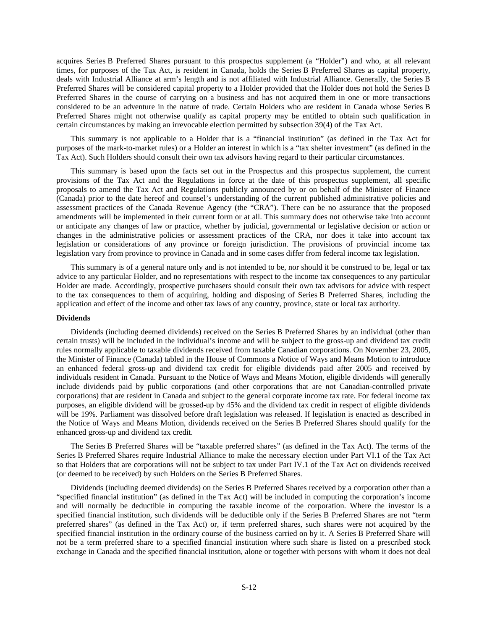acquires Series B Preferred Shares pursuant to this prospectus supplement (a "Holder") and who, at all relevant times, for purposes of the Tax Act, is resident in Canada, holds the Series B Preferred Shares as capital property, deals with Industrial Alliance at arm's length and is not affiliated with Industrial Alliance. Generally, the Series B Preferred Shares will be considered capital property to a Holder provided that the Holder does not hold the Series B Preferred Shares in the course of carrying on a business and has not acquired them in one or more transactions considered to be an adventure in the nature of trade. Certain Holders who are resident in Canada whose Series B Preferred Shares might not otherwise qualify as capital property may be entitled to obtain such qualification in certain circumstances by making an irrevocable election permitted by subsection 39(4) of the Tax Act.

This summary is not applicable to a Holder that is a "financial institution" (as defined in the Tax Act for purposes of the mark-to-market rules) or a Holder an interest in which is a "tax shelter investment" (as defined in the Tax Act). Such Holders should consult their own tax advisors having regard to their particular circumstances.

This summary is based upon the facts set out in the Prospectus and this prospectus supplement, the current provisions of the Tax Act and the Regulations in force at the date of this prospectus supplement, all specific proposals to amend the Tax Act and Regulations publicly announced by or on behalf of the Minister of Finance (Canada) prior to the date hereof and counsel's understanding of the current published administrative policies and assessment practices of the Canada Revenue Agency (the "CRA"). There can be no assurance that the proposed amendments will be implemented in their current form or at all. This summary does not otherwise take into account or anticipate any changes of law or practice, whether by judicial, governmental or legislative decision or action or changes in the administrative policies or assessment practices of the CRA, nor does it take into account tax legislation or considerations of any province or foreign jurisdiction. The provisions of provincial income tax legislation vary from province to province in Canada and in some cases differ from federal income tax legislation.

This summary is of a general nature only and is not intended to be, nor should it be construed to be, legal or tax advice to any particular Holder, and no representations with respect to the income tax consequences to any particular Holder are made. Accordingly, prospective purchasers should consult their own tax advisors for advice with respect to the tax consequences to them of acquiring, holding and disposing of Series B Preferred Shares, including the application and effect of the income and other tax laws of any country, province, state or local tax authority.

#### **Dividends**

Dividends (including deemed dividends) received on the Series B Preferred Shares by an individual (other than certain trusts) will be included in the individual's income and will be subject to the gross-up and dividend tax credit rules normally applicable to taxable dividends received from taxable Canadian corporations. On November 23, 2005, the Minister of Finance (Canada) tabled in the House of Commons a Notice of Ways and Means Motion to introduce an enhanced federal gross-up and dividend tax credit for eligible dividends paid after 2005 and received by individuals resident in Canada. Pursuant to the Notice of Ways and Means Motion, eligible dividends will generally include dividends paid by public corporations (and other corporations that are not Canadian-controlled private corporations) that are resident in Canada and subject to the general corporate income tax rate. For federal income tax purposes, an eligible dividend will be grossed-up by 45% and the dividend tax credit in respect of eligible dividends will be 19%. Parliament was dissolved before draft legislation was released. If legislation is enacted as described in the Notice of Ways and Means Motion, dividends received on the Series B Preferred Shares should qualify for the enhanced gross-up and dividend tax credit.

The Series B Preferred Shares will be "taxable preferred shares" (as defined in the Tax Act). The terms of the Series B Preferred Shares require Industrial Alliance to make the necessary election under Part VI.1 of the Tax Act so that Holders that are corporations will not be subject to tax under Part IV.1 of the Tax Act on dividends received (or deemed to be received) by such Holders on the Series B Preferred Shares.

Dividends (including deemed dividends) on the Series B Preferred Shares received by a corporation other than a "specified financial institution" (as defined in the Tax Act) will be included in computing the corporation's income and will normally be deductible in computing the taxable income of the corporation. Where the investor is a specified financial institution, such dividends will be deductible only if the Series B Preferred Shares are not "term preferred shares" (as defined in the Tax Act) or, if term preferred shares, such shares were not acquired by the specified financial institution in the ordinary course of the business carried on by it. A Series B Preferred Share will not be a term preferred share to a specified financial institution where such share is listed on a prescribed stock exchange in Canada and the specified financial institution, alone or together with persons with whom it does not deal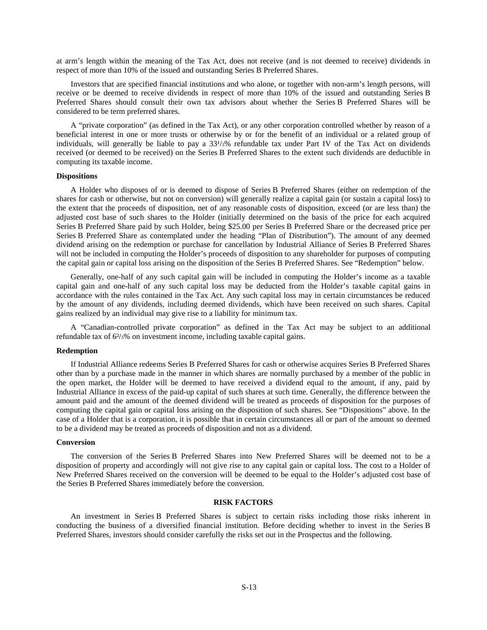at arm's length within the meaning of the Tax Act, does not receive (and is not deemed to receive) dividends in respect of more than 10% of the issued and outstanding Series B Preferred Shares.

Investors that are specified financial institutions and who alone, or together with non-arm's length persons, will receive or be deemed to receive dividends in respect of more than 10% of the issued and outstanding Series B Preferred Shares should consult their own tax advisors about whether the Series B Preferred Shares will be considered to be term preferred shares.

A "private corporation" (as defined in the Tax Act), or any other corporation controlled whether by reason of a beneficial interest in one or more trusts or otherwise by or for the benefit of an individual or a related group of individuals, will generally be liable to pay a  $33\frac{1}{3}\%$  refundable tax under Part IV of the Tax Act on dividends received (or deemed to be received) on the Series B Preferred Shares to the extent such dividends are deductible in computing its taxable income.

#### **Dispositions**

A Holder who disposes of or is deemed to dispose of Series B Preferred Shares (either on redemption of the shares for cash or otherwise, but not on conversion) will generally realize a capital gain (or sustain a capital loss) to the extent that the proceeds of disposition, net of any reasonable costs of disposition, exceed (or are less than) the adjusted cost base of such shares to the Holder (initially determined on the basis of the price for each acquired Series B Preferred Share paid by such Holder, being \$25.00 per Series B Preferred Share or the decreased price per Series B Preferred Share as contemplated under the heading "Plan of Distribution"). The amount of any deemed dividend arising on the redemption or purchase for cancellation by Industrial Alliance of Series B Preferred Shares will not be included in computing the Holder's proceeds of disposition to any shareholder for purposes of computing the capital gain or capital loss arising on the disposition of the Series B Preferred Shares. See "Redemption" below.

Generally, one-half of any such capital gain will be included in computing the Holder's income as a taxable capital gain and one-half of any such capital loss may be deducted from the Holder's taxable capital gains in accordance with the rules contained in the Tax Act. Any such capital loss may in certain circumstances be reduced by the amount of any dividends, including deemed dividends, which have been received on such shares. Capital gains realized by an individual may give rise to a liability for minimum tax.

A "Canadian-controlled private corporation" as defined in the Tax Act may be subject to an additional refundable tax of 6²/3% on investment income, including taxable capital gains.

#### **Redemption**

If Industrial Alliance redeems Series B Preferred Shares for cash or otherwise acquires Series B Preferred Shares other than by a purchase made in the manner in which shares are normally purchased by a member of the public in the open market, the Holder will be deemed to have received a dividend equal to the amount, if any, paid by Industrial Alliance in excess of the paid-up capital of such shares at such time. Generally, the difference between the amount paid and the amount of the deemed dividend will be treated as proceeds of disposition for the purposes of computing the capital gain or capital loss arising on the disposition of such shares. See "Dispositions" above. In the case of a Holder that is a corporation, it is possible that in certain circumstances all or part of the amount so deemed to be a dividend may be treated as proceeds of disposition and not as a dividend.

# **Conversion**

The conversion of the Series B Preferred Shares into New Preferred Shares will be deemed not to be a disposition of property and accordingly will not give rise to any capital gain or capital loss. The cost to a Holder of New Preferred Shares received on the conversion will be deemed to be equal to the Holder's adjusted cost base of the Series B Preferred Shares immediately before the conversion.

# **RISK FACTORS**

An investment in Series B Preferred Shares is subject to certain risks including those risks inherent in conducting the business of a diversified financial institution. Before deciding whether to invest in the Series B Preferred Shares, investors should consider carefully the risks set out in the Prospectus and the following.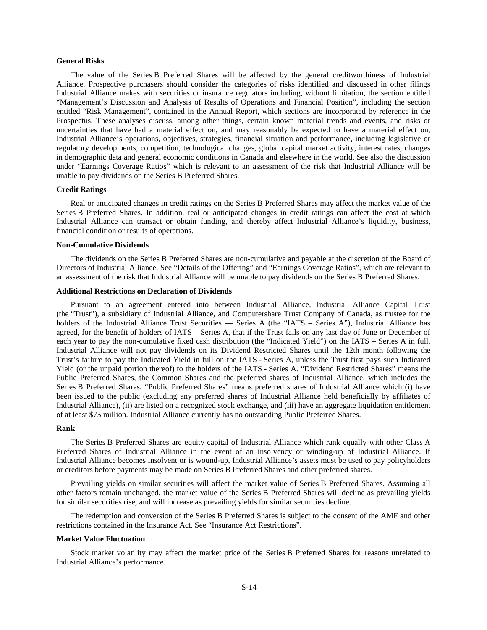# **General Risks**

The value of the Series B Preferred Shares will be affected by the general creditworthiness of Industrial Alliance. Prospective purchasers should consider the categories of risks identified and discussed in other filings Industrial Alliance makes with securities or insurance regulators including, without limitation, the section entitled "Management's Discussion and Analysis of Results of Operations and Financial Position", including the section entitled "Risk Management", contained in the Annual Report, which sections are incorporated by reference in the Prospectus. These analyses discuss, among other things, certain known material trends and events, and risks or uncertainties that have had a material effect on, and may reasonably be expected to have a material effect on, Industrial Alliance's operations, objectives, strategies, financial situation and performance, including legislative or regulatory developments, competition, technological changes, global capital market activity, interest rates, changes in demographic data and general economic conditions in Canada and elsewhere in the world. See also the discussion under "Earnings Coverage Ratios" which is relevant to an assessment of the risk that Industrial Alliance will be unable to pay dividends on the Series B Preferred Shares.

# **Credit Ratings**

Real or anticipated changes in credit ratings on the Series B Preferred Shares may affect the market value of the Series B Preferred Shares. In addition, real or anticipated changes in credit ratings can affect the cost at which Industrial Alliance can transact or obtain funding, and thereby affect Industrial Alliance's liquidity, business, financial condition or results of operations.

# **Non-Cumulative Dividends**

The dividends on the Series B Preferred Shares are non-cumulative and payable at the discretion of the Board of Directors of Industrial Alliance. See "Details of the Offering" and "Earnings Coverage Ratios", which are relevant to an assessment of the risk that Industrial Alliance will be unable to pay dividends on the Series B Preferred Shares.

# **Additional Restrictions on Declaration of Dividends**

Pursuant to an agreement entered into between Industrial Alliance, Industrial Alliance Capital Trust (the "Trust"), a subsidiary of Industrial Alliance, and Computershare Trust Company of Canada, as trustee for the holders of the Industrial Alliance Trust Securities — Series A (the "IATS – Series A"), Industrial Alliance has agreed, for the benefit of holders of IATS – Series A, that if the Trust fails on any last day of June or December of each year to pay the non-cumulative fixed cash distribution (the "Indicated Yield") on the IATS – Series A in full, Industrial Alliance will not pay dividends on its Dividend Restricted Shares until the 12th month following the Trust's failure to pay the Indicated Yield in full on the IATS - Series A, unless the Trust first pays such Indicated Yield (or the unpaid portion thereof) to the holders of the IATS - Series A. "Dividend Restricted Shares" means the Public Preferred Shares, the Common Shares and the preferred shares of Industrial Alliance, which includes the Series B Preferred Shares. "Public Preferred Shares" means preferred shares of Industrial Alliance which (i) have been issued to the public (excluding any preferred shares of Industrial Alliance held beneficially by affiliates of Industrial Alliance), (ii) are listed on a recognized stock exchange, and (iii) have an aggregate liquidation entitlement of at least \$75 million. Industrial Alliance currently has no outstanding Public Preferred Shares.

#### **Rank**

The Series B Preferred Shares are equity capital of Industrial Alliance which rank equally with other Class A Preferred Shares of Industrial Alliance in the event of an insolvency or winding-up of Industrial Alliance. If Industrial Alliance becomes insolvent or is wound-up, Industrial Alliance's assets must be used to pay policyholders or creditors before payments may be made on Series B Preferred Shares and other preferred shares.

Prevailing yields on similar securities will affect the market value of Series B Preferred Shares. Assuming all other factors remain unchanged, the market value of the Series B Preferred Shares will decline as prevailing yields for similar securities rise, and will increase as prevailing yields for similar securities decline.

The redemption and conversion of the Series B Preferred Shares is subject to the consent of the AMF and other restrictions contained in the Insurance Act. See "Insurance Act Restrictions".

#### **Market Value Fluctuation**

Stock market volatility may affect the market price of the Series B Preferred Shares for reasons unrelated to Industrial Alliance's performance.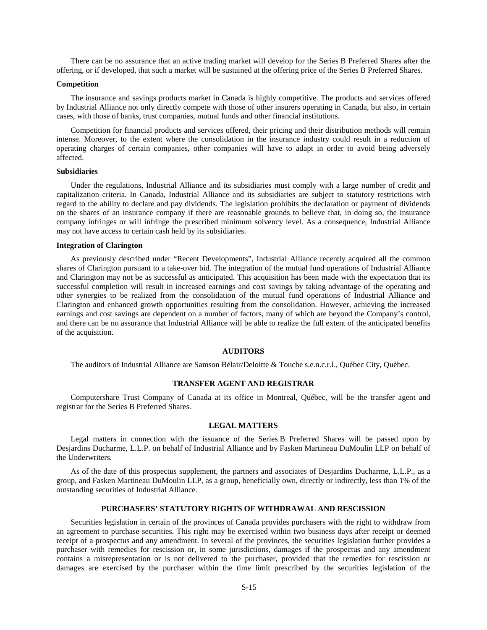There can be no assurance that an active trading market will develop for the Series B Preferred Shares after the offering, or if developed, that such a market will be sustained at the offering price of the Series B Preferred Shares.

#### **Competition**

The insurance and savings products market in Canada is highly competitive. The products and services offered by Industrial Alliance not only directly compete with those of other insurers operating in Canada, but also, in certain cases, with those of banks, trust companies, mutual funds and other financial institutions.

Competition for financial products and services offered, their pricing and their distribution methods will remain intense. Moreover, to the extent where the consolidation in the insurance industry could result in a reduction of operating charges of certain companies, other companies will have to adapt in order to avoid being adversely affected.

#### **Subsidiaries**

Under the regulations, Industrial Alliance and its subsidiaries must comply with a large number of credit and capitalization criteria. In Canada, Industrial Alliance and its subsidiaries are subject to statutory restrictions with regard to the ability to declare and pay dividends. The legislation prohibits the declaration or payment of dividends on the shares of an insurance company if there are reasonable grounds to believe that, in doing so, the insurance company infringes or will infringe the prescribed minimum solvency level. As a consequence, Industrial Alliance may not have access to certain cash held by its subsidiaries.

#### **Integration of Clarington**

As previously described under "Recent Developments", Industrial Alliance recently acquired all the common shares of Clarington pursuant to a take-over bid. The integration of the mutual fund operations of Industrial Alliance and Clarington may not be as successful as anticipated. This acquisition has been made with the expectation that its successful completion will result in increased earnings and cost savings by taking advantage of the operating and other synergies to be realized from the consolidation of the mutual fund operations of Industrial Alliance and Clarington and enhanced growth opportunities resulting from the consolidation. However, achieving the increased earnings and cost savings are dependent on a number of factors, many of which are beyond the Company's control, and there can be no assurance that Industrial Alliance will be able to realize the full extent of the anticipated benefits of the acquisition.

#### **AUDITORS**

The auditors of Industrial Alliance are Samson Bélair/Deloitte & Touche s.e.n.c.r.l., Québec City, Québec.

#### **TRANSFER AGENT AND REGISTRAR**

Computershare Trust Company of Canada at its office in Montreal, Québec, will be the transfer agent and registrar for the Series B Preferred Shares.

# **LEGAL MATTERS**

Legal matters in connection with the issuance of the Series B Preferred Shares will be passed upon by Desjardins Ducharme, L.L.P. on behalf of Industrial Alliance and by Fasken Martineau DuMoulin LLP on behalf of the Underwriters.

As of the date of this prospectus supplement, the partners and associates of Desjardins Ducharme, L.L.P., as a group, and Fasken Martineau DuMoulin LLP, as a group, beneficially own, directly or indirectly, less than 1% of the outstanding securities of Industrial Alliance.

# **PURCHASERS' STATUTORY RIGHTS OF WITHDRAWAL AND RESCISSION**

Securities legislation in certain of the provinces of Canada provides purchasers with the right to withdraw from an agreement to purchase securities. This right may be exercised within two business days after receipt or deemed receipt of a prospectus and any amendment. In several of the provinces, the securities legislation further provides a purchaser with remedies for rescission or, in some jurisdictions, damages if the prospectus and any amendment contains a misrepresentation or is not delivered to the purchaser, provided that the remedies for rescission or damages are exercised by the purchaser within the time limit prescribed by the securities legislation of the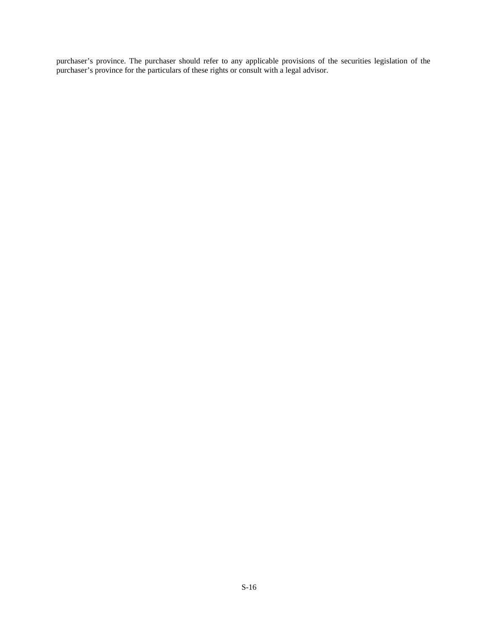purchaser's province. The purchaser should refer to any applicable provisions of the securities legislation of the purchaser's province for the particulars of these rights or consult with a legal advisor.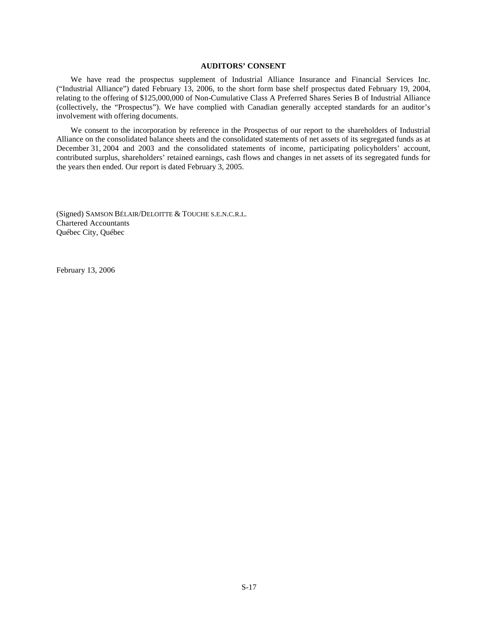# **AUDITORS' CONSENT**

We have read the prospectus supplement of Industrial Alliance Insurance and Financial Services Inc. ("Industrial Alliance") dated February 13, 2006, to the short form base shelf prospectus dated February 19, 2004, relating to the offering of \$125,000,000 of Non-Cumulative Class A Preferred Shares Series B of Industrial Alliance (collectively, the "Prospectus"). We have complied with Canadian generally accepted standards for an auditor's involvement with offering documents.

We consent to the incorporation by reference in the Prospectus of our report to the shareholders of Industrial Alliance on the consolidated balance sheets and the consolidated statements of net assets of its segregated funds as at December 31, 2004 and 2003 and the consolidated statements of income, participating policyholders' account, contributed surplus, shareholders' retained earnings, cash flows and changes in net assets of its segregated funds for the years then ended. Our report is dated February 3, 2005.

(Signed) SAMSON BÉLAIR/DELOITTE & TOUCHE S.E.N.C.R.L. Chartered Accountants Québec City, Québec

February 13, 2006